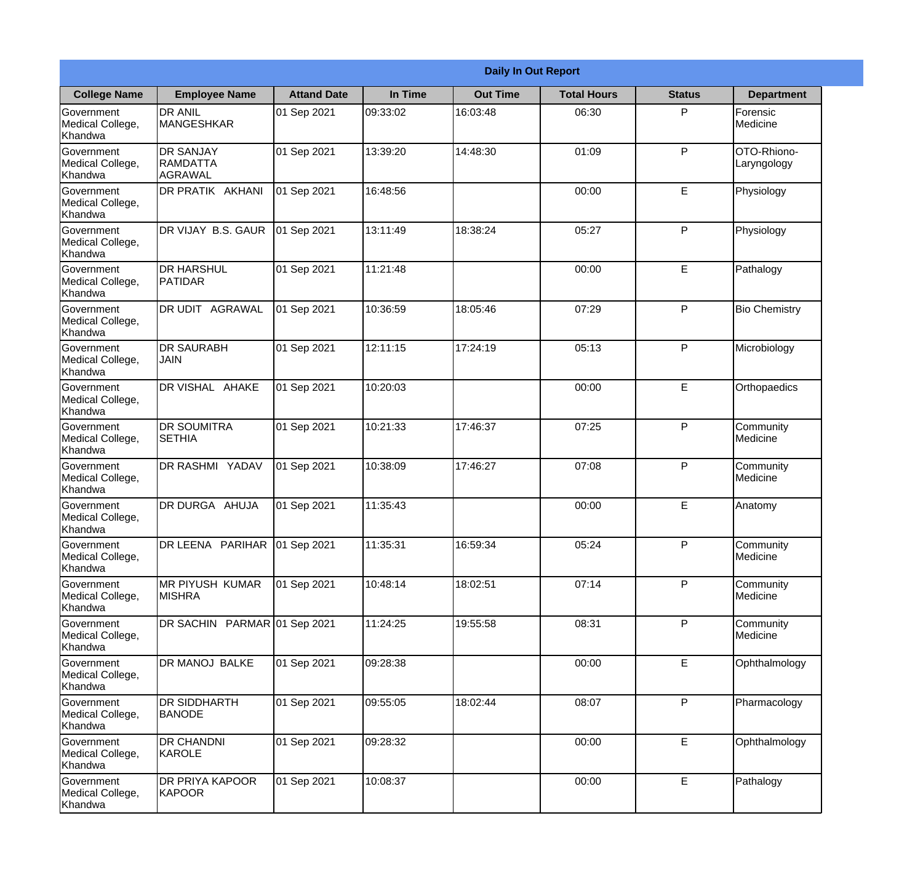|                                                  | <b>Daily In Out Report</b>                     |                    |          |                 |                    |               |                            |  |  |
|--------------------------------------------------|------------------------------------------------|--------------------|----------|-----------------|--------------------|---------------|----------------------------|--|--|
| <b>College Name</b>                              | <b>Employee Name</b>                           | <b>Attand Date</b> | In Time  | <b>Out Time</b> | <b>Total Hours</b> | <b>Status</b> | <b>Department</b>          |  |  |
| Government<br>Medical College,<br>Khandwa        | <b>DR ANIL</b><br><b>MANGESHKAR</b>            | 01 Sep 2021        | 09:33:02 | 16:03:48        | 06:30              | P             | Forensic<br>Medicine       |  |  |
| Government<br>Medical College,<br>Khandwa        | <b>DR SANJAY</b><br><b>RAMDATTA</b><br>AGRAWAL | 01 Sep 2021        | 13:39:20 | 14:48:30        | 01:09              | P             | OTO-Rhiono-<br>Laryngology |  |  |
| <b>Government</b><br>Medical College,<br>Khandwa | <b>DR PRATIK AKHANI</b>                        | 01 Sep 2021        | 16:48:56 |                 | 00:00              | E             | Physiology                 |  |  |
| <b>Government</b><br>Medical College,<br>Khandwa | DR VIJAY B.S. GAUR                             | 01 Sep 2021        | 13:11:49 | 18:38:24        | 05:27              | P             | Physiology                 |  |  |
| Government<br>Medical College,<br>Khandwa        | <b>IDR HARSHUL</b><br>PATIDAR                  | 01 Sep 2021        | 11:21:48 |                 | 00:00              | E             | Pathalogy                  |  |  |
| Government<br>Medical College,<br>Khandwa        | DR UDIT AGRAWAL                                | 01 Sep 2021        | 10:36:59 | 18:05:46        | 07:29              | P             | <b>Bio Chemistry</b>       |  |  |
| Government<br>Medical College,<br>Khandwa        | <b>DR SAURABH</b><br><b>JAIN</b>               | 01 Sep 2021        | 12:11:15 | 17:24:19        | 05:13              | P             | Microbiology               |  |  |
| <b>Government</b><br>Medical College,<br>Khandwa | DR VISHAL AHAKE                                | 01 Sep 2021        | 10:20:03 |                 | 00:00              | E             | Orthopaedics               |  |  |
| Government<br>Medical College,<br>Khandwa        | <b>DR SOUMITRA</b><br><b>SETHIA</b>            | 01 Sep 2021        | 10:21:33 | 17:46:37        | 07:25              | P             | Community<br>Medicine      |  |  |
| Government<br>Medical College,<br>Khandwa        | <b>DR RASHMI YADAV</b>                         | 01 Sep 2021        | 10:38:09 | 17:46:27        | 07:08              | P             | Community<br>Medicine      |  |  |
| Government<br>Medical College,<br>Khandwa        | DR DURGA AHUJA                                 | 01 Sep 2021        | 11:35:43 |                 | 00:00              | E             | Anatomy                    |  |  |
| Government<br>Medical College,<br>Khandwa        | DR LEENA PARIHAR 01 Sep 2021                   |                    | 11:35:31 | 16:59:34        | 05:24              | P.            | Community<br>Medicine      |  |  |
| Government<br>Medical College,<br>Khandwa        | <b>MR PIYUSH KUMAR</b><br><b>MISHRA</b>        | 01 Sep 2021        | 10:48:14 | 18:02:51        | 07:14              | P             | Community<br>Medicine      |  |  |
| Government<br>Medical College,<br>Khandwa        | DR SACHIN PARMAR 01 Sep 2021                   |                    | 11:24:25 | 19:55:58        | 08:31              | P             | Community<br>Medicine      |  |  |
| Government<br>Medical College,<br>Khandwa        | DR MANOJ BALKE                                 | 01 Sep 2021        | 09:28:38 |                 | 00:00              | E             | Ophthalmology              |  |  |
| Government<br>Medical College,<br>Khandwa        | DR SIDDHARTH<br><b>BANODE</b>                  | 01 Sep 2021        | 09:55:05 | 18:02:44        | 08:07              | P             | Pharmacology               |  |  |
| Government<br>Medical College,<br>Khandwa        | <b>DR CHANDNI</b><br>KAROLE                    | 01 Sep 2021        | 09:28:32 |                 | 00:00              | E             | Ophthalmology              |  |  |
| Government<br>Medical College,<br>Khandwa        | <b>DR PRIYA KAPOOR</b><br>KAPOOR               | 01 Sep 2021        | 10:08:37 |                 | 00:00              | $\mathsf E$   | Pathalogy                  |  |  |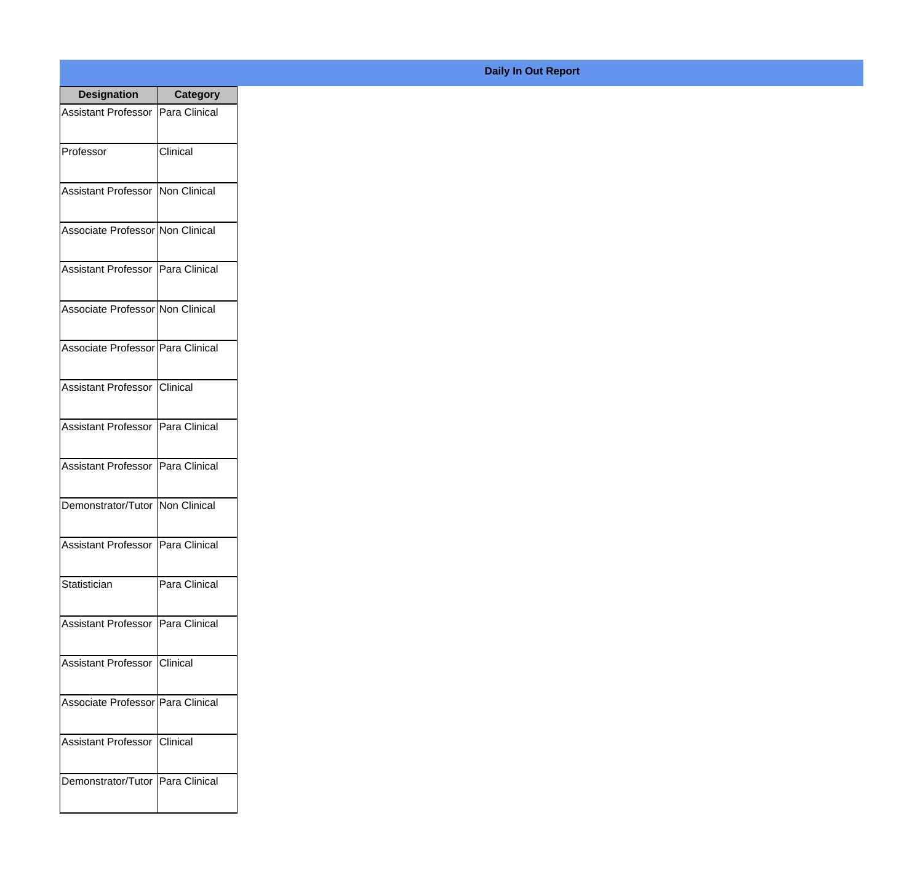| <b>Designation</b>                  | <b>Category</b> |
|-------------------------------------|-----------------|
| Assistant Professor   Para Clinical |                 |
| Professor                           | Clinical        |
| Assistant Professor   Non Clinical  |                 |
| Associate Professor Non Clinical    |                 |
| Assistant Professor   Para Clinical |                 |
| Associate Professor Non Clinical    |                 |
| Associate Professor Para Clinical   |                 |
| Assistant Professor   Clinical      |                 |
| Assistant Professor   Para Clinical |                 |
| Assistant Professor   Para Clinical |                 |
| Demonstrator/Tutor   Non Clinical   |                 |
| Assistant Professor   Para Clinical |                 |
| Statistician                        | Para Clinical   |
| Assistant Professor   Para Clinical |                 |
| Assistant Professor   Clinical      |                 |
| Associate Professor   Para Clinical |                 |
| <b>Assistant Professor</b>          | Clinical        |
| Demonstrator/Tutor   Para Clinical  |                 |

## **Daily In Out Report**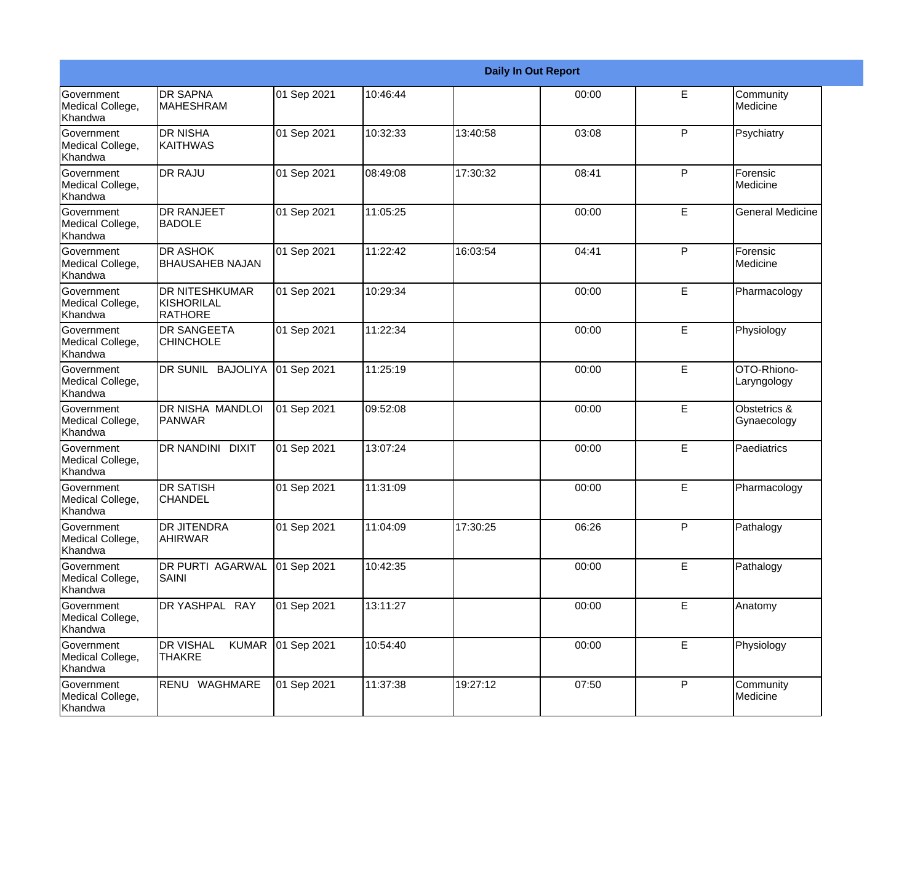|                                                  |                                                       |             |          |          | <b>Daily In Out Report</b> |    |                             |
|--------------------------------------------------|-------------------------------------------------------|-------------|----------|----------|----------------------------|----|-----------------------------|
| Government<br>Medical College,<br>Khandwa        | <b>DR SAPNA</b><br><b>MAHESHRAM</b>                   | 01 Sep 2021 | 10:46:44 |          | 00:00                      | E  | Community<br>Medicine       |
| Government<br>Medical College,<br>Khandwa        | <b>DR NISHA</b><br><b>KAITHWAS</b>                    | 01 Sep 2021 | 10:32:33 | 13:40:58 | 03:08                      | P  | Psychiatry                  |
| Government<br>Medical College,<br>Khandwa        | <b>DR RAJU</b>                                        | 01 Sep 2021 | 08:49:08 | 17:30:32 | 08:41                      | P  | Forensic<br>Medicine        |
| Government<br>Medical College,<br>Khandwa        | <b>DR RANJEET</b><br><b>BADOLE</b>                    | 01 Sep 2021 | 11:05:25 |          | 00:00                      | E  | <b>General Medicine</b>     |
| Government<br>Medical College,<br>Khandwa        | <b>DR ASHOK</b><br><b>BHAUSAHEB NAJAN</b>             | 01 Sep 2021 | 11:22:42 | 16:03:54 | 04:41                      | P  | Forensic<br>Medicine        |
| Government<br>Medical College,<br>Khandwa        | <b>DR NITESHKUMAR</b><br>KISHORILAL<br><b>RATHORE</b> | 01 Sep 2021 | 10:29:34 |          | 00:00                      | E  | Pharmacology                |
| Government<br>Medical College,<br>Khandwa        | <b>DR SANGEETA</b><br><b>CHINCHOLE</b>                | 01 Sep 2021 | 11:22:34 |          | 00:00                      | E  | Physiology                  |
| Government<br>Medical College,<br>Khandwa        | DR SUNIL BAJOLIYA                                     | 01 Sep 2021 | 11:25:19 |          | 00:00                      | E  | OTO-Rhiono-<br>Laryngology  |
| <b>Government</b><br>Medical College,<br>Khandwa | DR NISHA MANDLOI<br>PANWAR                            | 01 Sep 2021 | 09:52:08 |          | 00:00                      | E  | Obstetrics &<br>Gynaecology |
| Government<br>Medical College,<br>Khandwa        | DR NANDINI DIXIT                                      | 01 Sep 2021 | 13:07:24 |          | 00:00                      | E  | Paediatrics                 |
| <b>Government</b><br>Medical College,<br>Khandwa | <b>DR SATISH</b><br><b>CHANDEL</b>                    | 01 Sep 2021 | 11:31:09 |          | 00:00                      | E  | Pharmacology                |
| Government<br>Medical College,<br>Khandwa        | <b>DR JITENDRA</b><br><b>AHIRWAR</b>                  | 01 Sep 2021 | 11:04:09 | 17:30:25 | 06:26                      | P  | Pathalogy                   |
| Government<br>Medical College,<br>Khandwa        | DR PURTI AGARWAL<br><b>SAINI</b>                      | 01 Sep 2021 | 10:42:35 |          | 00:00                      | E  | Pathalogy                   |
| Government<br>Medical College,<br>Khandwa        | DR YASHPAL RAY                                        | 01 Sep 2021 | 13:11:27 |          | 00:00                      | E. | Anatomy                     |
| Government<br>Medical College,<br>Khandwa        | <b>DR VISHAL</b><br><b>KUMAR</b><br><b>THAKRE</b>     | 01 Sep 2021 | 10:54:40 |          | 00:00                      | E  | Physiology                  |
| Government<br>Medical College,<br>Khandwa        | RENU WAGHMARE                                         | 01 Sep 2021 | 11:37:38 | 19:27:12 | 07:50                      | P  | Community<br>Medicine       |